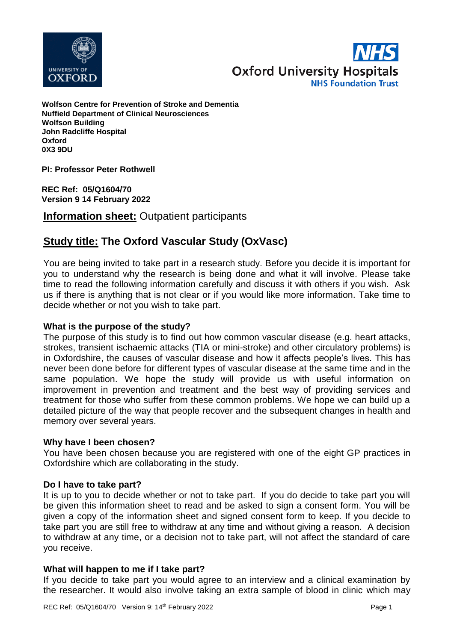



**Wolfson Centre for Prevention of Stroke and Dementia Nuffield Department of Clinical Neurosciences Wolfson Building John Radcliffe Hospital Oxford 0X3 9DU**

**PI: Professor Peter Rothwell**

**REC Ref: 05/Q1604/70 Version 9 14 February 2022**

**Information sheet:** Outpatient participants

# **Study title: The Oxford Vascular Study (OxVasc)**

You are being invited to take part in a research study. Before you decide it is important for you to understand why the research is being done and what it will involve. Please take time to read the following information carefully and discuss it with others if you wish. Ask us if there is anything that is not clear or if you would like more information. Take time to decide whether or not you wish to take part.

# **What is the purpose of the study?**

The purpose of this study is to find out how common vascular disease (e.g. heart attacks, strokes, transient ischaemic attacks (TIA or mini-stroke) and other circulatory problems) is in Oxfordshire, the causes of vascular disease and how it affects people's lives. This has never been done before for different types of vascular disease at the same time and in the same population. We hope the study will provide us with useful information on improvement in prevention and treatment and the best way of providing services and treatment for those who suffer from these common problems. We hope we can build up a detailed picture of the way that people recover and the subsequent changes in health and memory over several years.

#### **Why have I been chosen?**

You have been chosen because you are registered with one of the eight GP practices in Oxfordshire which are collaborating in the study.

#### **Do I have to take part?**

It is up to you to decide whether or not to take part. If you do decide to take part you will be given this information sheet to read and be asked to sign a consent form. You will be given a copy of the information sheet and signed consent form to keep. If you decide to take part you are still free to withdraw at any time and without giving a reason. A decision to withdraw at any time, or a decision not to take part, will not affect the standard of care you receive.

# **What will happen to me if I take part?**

If you decide to take part you would agree to an interview and a clinical examination by the researcher. It would also involve taking an extra sample of blood in clinic which may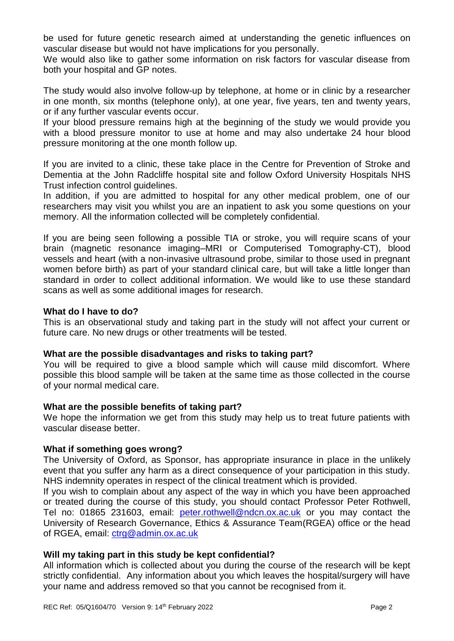be used for future genetic research aimed at understanding the genetic influences on vascular disease but would not have implications for you personally.

We would also like to gather some information on risk factors for vascular disease from both your hospital and GP notes.

The study would also involve follow-up by telephone, at home or in clinic by a researcher in one month, six months (telephone only), at one year, five years, ten and twenty years, or if any further vascular events occur.

If your blood pressure remains high at the beginning of the study we would provide you with a blood pressure monitor to use at home and may also undertake 24 hour blood pressure monitoring at the one month follow up.

If you are invited to a clinic, these take place in the Centre for Prevention of Stroke and Dementia at the John Radcliffe hospital site and follow Oxford University Hospitals NHS Trust infection control guidelines.

In addition, if you are admitted to hospital for any other medical problem, one of our researchers may visit you whilst you are an inpatient to ask you some questions on your memory. All the information collected will be completely confidential.

If you are being seen following a possible TIA or stroke, you will require scans of your brain (magnetic resonance imaging–MRI or Computerised Tomography-CT), blood vessels and heart (with a non-invasive ultrasound probe, similar to those used in pregnant women before birth) as part of your standard clinical care, but will take a little longer than standard in order to collect additional information. We would like to use these standard scans as well as some additional images for research.

### **What do I have to do?**

This is an observational study and taking part in the study will not affect your current or future care. No new drugs or other treatments will be tested.

# **What are the possible disadvantages and risks to taking part?**

You will be required to give a blood sample which will cause mild discomfort. Where possible this blood sample will be taken at the same time as those collected in the course of your normal medical care.

#### **What are the possible benefits of taking part?**

We hope the information we get from this study may help us to treat future patients with vascular disease better.

# **What if something goes wrong?**

The University of Oxford, as Sponsor, has appropriate insurance in place in the unlikely event that you suffer any harm as a direct consequence of your participation in this study. NHS indemnity operates in respect of the clinical treatment which is provided.

If you wish to complain about any aspect of the way in which you have been approached or treated during the course of this study, you should contact Professor Peter Rothwell, Tel no: 01865 231603, email: [peter.rothwell@ndcn.ox.ac.uk](mailto:peter.rothwell@ndcn.ox.ac.uk) or you may contact the University of Research Governance, Ethics & Assurance Team(RGEA) office or the head of RGEA, email: [ctrg@admin.ox.ac.uk](mailto:ctrg@admin.ox.ac.uk)

# **Will my taking part in this study be kept confidential?**

All information which is collected about you during the course of the research will be kept strictly confidential. Any information about you which leaves the hospital/surgery will have your name and address removed so that you cannot be recognised from it.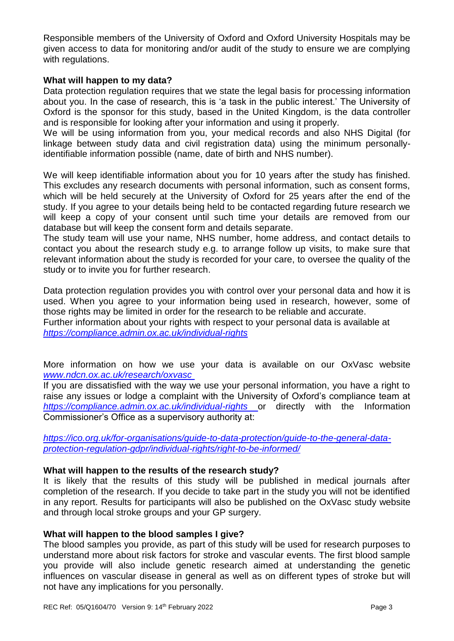Responsible members of the University of Oxford and Oxford University Hospitals may be given access to data for monitoring and/or audit of the study to ensure we are complying with regulations.

### **What will happen to my data?**

Data protection regulation requires that we state the legal basis for processing information about you. In the case of research, this is 'a task in the public interest.' The University of Oxford is the sponsor for this study, based in the United Kingdom, is the data controller and is responsible for looking after your information and using it properly.

We will be using information from you, your medical records and also NHS Digital (for linkage between study data and civil registration data) using the minimum personallyidentifiable information possible (name, date of birth and NHS number).

We will keep identifiable information about you for 10 years *a*fter the study has finished. This excludes any research documents with personal information, such as consent forms, which will be held securely at the University of Oxford for 25 years after the end of the study. If you agree to your details being held to be contacted regarding future research we will keep a copy of your consent until such time your details are removed from our database but will keep the consent form and details separate.

The study team will use your name, NHS number, home address, and contact details to contact you about the research study e.g. to arrange follow up visits, to make sure that relevant information about the study is recorded for your care, to oversee the quality of the study or to invite you for further research.

Data protection regulation provides you with control over your personal data and how it is used. When you agree to your information being used in research, however, some of those rights may be limited in order for the research to be reliable and accurate. Further information about your rights with respect to your personal data is available at *<https://compliance.admin.ox.ac.uk/individual-rights>*

More information on how we use your data is available on our OxVasc website *[www.ndcn.ox.ac.uk/research/oxvasc](../AppData/Local/Microsoft/Windows/INetCache/Content.Outlook/AppData/Local/Packages/Microsoft.MicrosoftEdge_8wekyb3d8bbwe/TempState/Downloads/www.ndcn.ox.ac.uk/research/oxvasc )*

If you are dissatisfied with the way we use your personal information, you have a right to raise any issues or lodge a complaint with the University of Oxford's compliance team at *<https://compliance.admin.ox.ac.uk/individual-rights>* or directly with the Information Commissioner's Office as a supervisory authority at:

*[https://ico.org.uk/for-organisations/guide-to-data-protection/guide-to-the-general-data](https://ico.org.uk/for-organisations/guide-to-data-protection/guide-to-the-general-data-protection-regulation-gdpr/individual-rights/right-to-be-informed/)[protection-regulation-gdpr/individual-rights/right-to-be-informed/](https://ico.org.uk/for-organisations/guide-to-data-protection/guide-to-the-general-data-protection-regulation-gdpr/individual-rights/right-to-be-informed/)*

# **What will happen to the results of the research study?**

It is likely that the results of this study will be published in medical journals after completion of the research. If you decide to take part in the study you will not be identified in any report. Results for participants will also be published on the OxVasc study website and through local stroke groups and your GP surgery.

#### **What will happen to the blood samples I give?**

The blood samples you provide, as part of this study will be used for research purposes to understand more about risk factors for stroke and vascular events. The first blood sample you provide will also include genetic research aimed at understanding the genetic influences on vascular disease in general as well as on different types of stroke but will not have any implications for you personally.